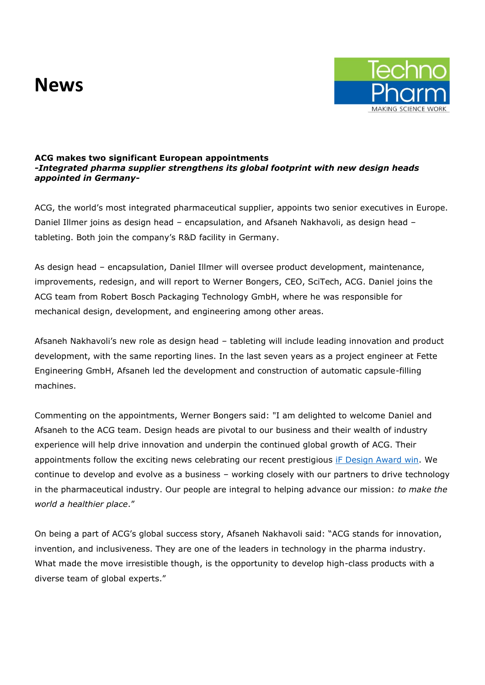## **News**



## **ACG makes two significant European appointments**  *-Integrated pharma supplier strengthens its global footprint with new design heads appointed in Germany-*

ACG, the world's most integrated pharmaceutical supplier, appoints two senior executives in Europe. Daniel Illmer joins as design head – encapsulation, and Afsaneh Nakhavoli, as design head – tableting. Both join the company's R&D facility in Germany.

As design head – encapsulation, Daniel Illmer will oversee product development, maintenance, improvements, redesign, and will report to Werner Bongers, CEO, SciTech, ACG. Daniel joins the ACG team from Robert Bosch Packaging Technology GmbH, where he was responsible for mechanical design, development, and engineering among other areas.

Afsaneh Nakhavoli's new role as design head – tableting will include leading innovation and product development, with the same reporting lines. In the last seven years as a project engineer at Fette Engineering GmbH, Afsaneh led the development and construction of automatic capsule-filling machines.

Commenting on the appointments, Werner Bongers said: "I am delighted to welcome Daniel and Afsaneh to the ACG team. Design heads are pivotal to our business and their wealth of industry experience will help drive innovation and underpin the continued global growth of ACG. Their appointments follow the exciting news celebrating our recent prestigious if Design Award win. We continue to develop and evolve as a business – working closely with our partners to drive technology in the pharmaceutical industry. Our people are integral to helping advance our mission: *to make the world a healthier place*."

On being a part of ACG's global success story, Afsaneh Nakhavoli said: "ACG stands for innovation, invention, and inclusiveness. They are one of the leaders in technology in the pharma industry. What made the move irresistible though, is the opportunity to develop high-class products with a diverse team of global experts."